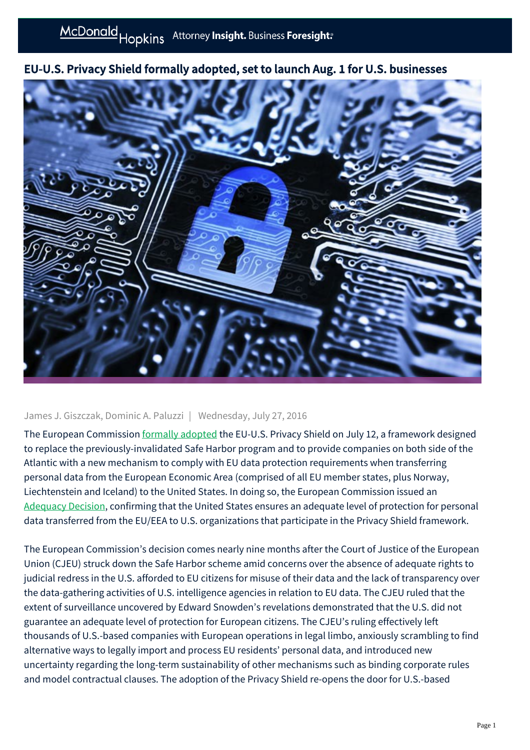

# EU-U.S. Privacy Shield formally adopted, set to launch Aug. 1 for U.S. businesses

# James J. Giszczak, Dominic A. Paluzzi | Wednesday, July 27, 2016

The European Commission [formally adopted](http://europa.eu/rapid/press-release_IP-16-2461_en.htm) the EU-U.S. Privacy Shield on July 12, a framework designed to replace the previously-invalidated Safe Harbor program and to provide companies on both side of the Atlantic with a new mechanism to comply with EU data protection requirements when transferring personal data from the European Economic Area (comprised of all EU member states, plus Norway, Liechtenstein and Iceland) to the United States. In doing so, the European Commission issued an [Adequacy Decision](http://ec.europa.eu/justice/data-protection/files/privacy-shield-adequacy-decision_en.pdf), confirming that the United States ensures an adequate level of protection for personal data transferred from the EU/EEA to U.S. organizations that participate in the Privacy Shield framework.

The European Commission's decision comes nearly nine months after the Court of Justice of the European Union (CJEU) struck down the Safe Harbor scheme amid concerns over the absence of adequate rights to judicial redress in the U.S. afforded to EU citizens for misuse of their data and the lack of transparency over the data-gathering activities of U.S. intelligence agencies in relation to EU data. The CJEU ruled that the extent of surveillance uncovered by Edward Snowden's revelations demonstrated that the U.S. did not guarantee an adequate level of protection for European citizens. The CJEU's ruling effectively left thousands of U.S.-based companies with European operations in legal limbo, anxiously scrambling to find alternative ways to legally import and process EU residents' personal data, and introduced new uncertainty regarding the long-term sustainability of other mechanisms such as binding corporate rules and model contractual clauses. The adoption of the Privacy Shield re-opens the door for U.S.-based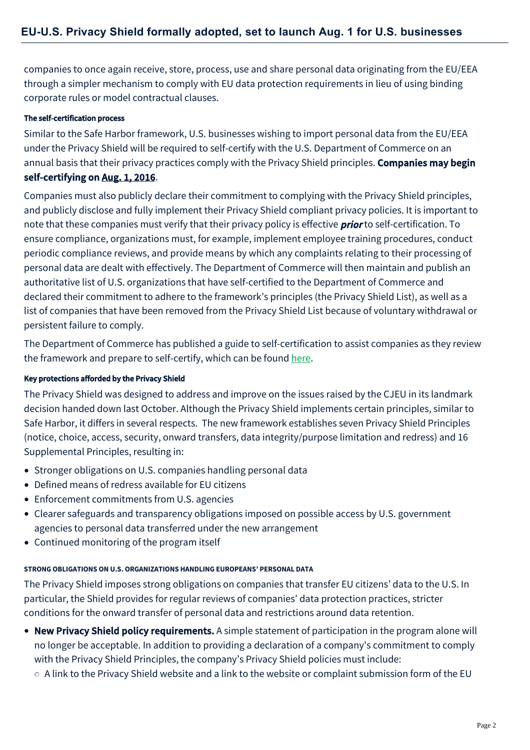companies to once again receive, store, process, use and share personal data originating from the EU/EEA through a simpler mechanism to comply with EU data protection requirements in lieu of using binding corporate rules or model contractual clauses.

### The self-certification process

Similar to the Safe Harbor framework, U.S. businesses wishing to import personal data from the EU/EEA under the Privacy Shield will be required to self-certify with the U.S. Department of Commerce on an annual basis that their privacy practices comply with the Privacy Shield principles. Companies may begin self-certifying on Aug. 1, 2016.

Companies must also publicly declare their commitment to complying with the Privacy Shield principles, and publicly disclose and fully implement their Privacy Shield compliant privacy policies. It is important to note that these companies must verify that their privacy policy is effective **prior** to self-certification. To ensure compliance, organizations must, for example, implement employee training procedures, conduct periodic compliance reviews, and provide means by which any complaints relating to their processing of personal data are dealt with effectively. The Department of Commerce will then maintain and publish an authoritative list of U.S. organizations that have self-certified to the Department of Commerce and declared their commitment to adhere to the framework's principles (the Privacy Shield List), as well as a list of companies that have been removed from the Privacy Shield List because of voluntary withdrawal or persistent failure to comply.

The Department of Commerce has published a guide to self-certification to assist companies as they review the framework and prepare to self-certify, which can be found [here.](https://www.commerce.gov/sites/commerce.gov/files/media/files/2016/how_to_join_privacy_shield_sc_cmts.pdf)

### Key protections afforded by the Privacy Shield

The Privacy Shield was designed to address and improve on the issues raised by the CJEU in its landmark decision handed down last October. Although the Privacy Shield implements certain principles, similar to Safe Harbor, it differs in several respects. The new framework establishes seven Privacy Shield Principles (notice, choice, access, security, onward transfers, data integrity/purpose limitation and redress) and 16 Supplemental Principles, resulting in:

- Stronger obligations on U.S. companies handling personal data
- Defined means of redress available for EU citizens
- Enforcement commitments from U.S. agencies
- Clearer safeguards and transparency obligations imposed on possible access by U.S. government agencies to personal data transferred under the new arrangement
- Continued monitoring of the program itself

### **STRONG OBLIGATIONS ON U.S. ORGANIZATIONS HANDLING EUROPEANS' PERSONAL DATA**

The Privacy Shield imposes strong obligations on companies that transfer EU citizens' data to the U.S. In particular, the Shield provides for regular reviews of companies' data protection practices, stricter conditions for the onward transfer of personal data and restrictions around data retention.

- New Privacy Shield policy requirements. A simple statement of participation in the program alone will no longer be acceptable. In addition to providing a declaration of a company's commitment to comply with the Privacy Shield Principles, the company's Privacy Shield policies must include:
	- $\circ$  A link to the Privacy Shield website and a link to the website or complaint submission form of the EU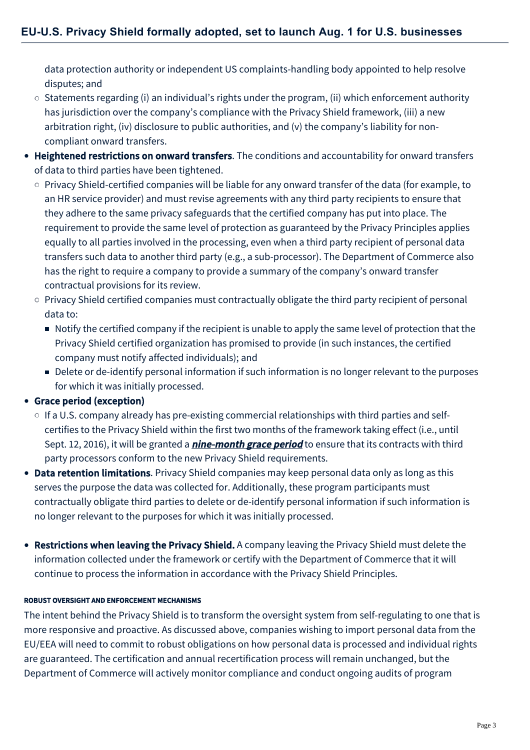data protection authority or independent US complaints-handling body appointed to help resolve disputes; and

- $\circ$  Statements regarding (i) an individual's rights under the program, (ii) which enforcement authority has jurisdiction over the company's compliance with the Privacy Shield framework, (iii) a new arbitration right, (iv) disclosure to public authorities, and (v) the company's liability for noncompliant onward transfers.
- Heightened restrictions on onward transfers. The conditions and accountability for onward transfers of data to third parties have been tightened.
	- $\circ$  Privacy Shield-certified companies will be liable for any onward transfer of the data (for example, to an HR service provider) and must revise agreements with any third party recipients to ensure that they adhere to the same privacy safeguards that the certified company has put into place. The requirement to provide the same level of protection as guaranteed by the Privacy Principles applies equally to all parties involved in the processing, even when a third party recipient of personal data transfers such data to another third party (e.g., a sub-processor). The Department of Commerce also has the right to require a company to provide a summary of the company's onward transfer contractual provisions for its review.
	- $\circ$  Privacy Shield certified companies must contractually obligate the third party recipient of personal data to:
		- Notify the certified company if the recipient is unable to apply the same level of protection that the Privacy Shield certified organization has promised to provide (in such instances, the certified company must notify affected individuals); and
		- Delete or de-identify personal information if such information is no longer relevant to the purposes for which it was initially processed.

# Grace period (exception)

- $\circ$  If a U.S. company already has pre-existing commercial relationships with third parties and selfcertifies to the Privacy Shield within the first two months of the framework taking effect (i.e., until Sept. 12, 2016), it will be granted a *nine-month grace period* to ensure that its contracts with third party processors conform to the new Privacy Shield requirements.
- Data retention limitations. Privacy Shield companies may keep personal data only as long as this serves the purpose the data was collected for. Additionally, these program participants must contractually obligate third parties to delete or de-identify personal information if such information is no longer relevant to the purposes for which it was initially processed.
- Restrictions when leaving the Privacy Shield. A company leaving the Privacy Shield must delete the information collected under the framework or certify with the Department of Commerce that it will continue to process the information in accordance with the Privacy Shield Principles.

### ROBUST OVERSIGHT AND ENFORCEMENT MECHANISMS

The intent behind the Privacy Shield is to transform the oversight system from self-regulating to one that is more responsive and proactive. As discussed above, companies wishing to import personal data from the EU/EEA will need to commit to robust obligations on how personal data is processed and individual rights are guaranteed. The certification and annual recertification process will remain unchanged, but the Department of Commerce will actively monitor compliance and conduct ongoing audits of program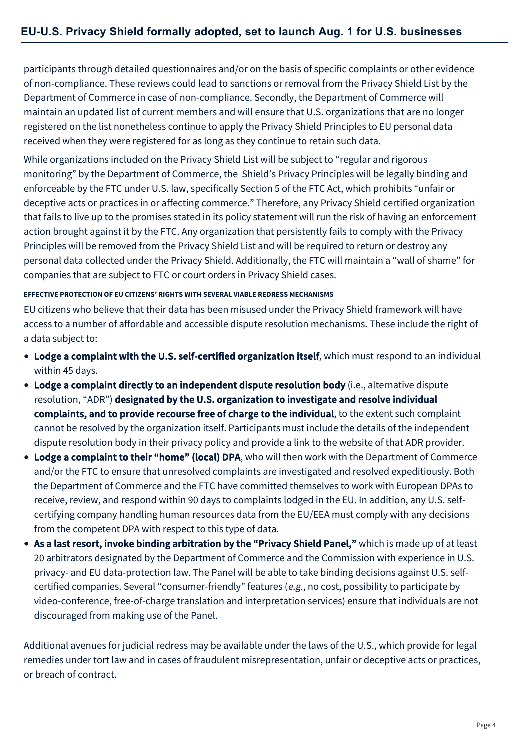participants through detailed questionnaires and/or on the basis of specific complaints or other evidence of non-compliance. These reviews could lead to sanctions or removal from the Privacy Shield List by the Department of Commerce in case of non-compliance. Secondly, the Department of Commerce will maintain an updated list of current members and will ensure that U.S. organizations that are no longer registered on the list nonetheless continue to apply the Privacy Shield Principles to EU personal data received when they were registered for as long as they continue to retain such data.

While organizations included on the Privacy Shield List will be subject to "regular and rigorous monitoring" by the Department of Commerce, the Shield's Privacy Principles will be legally binding and enforceable by the FTC under U.S. law, specifically Section 5 of the FTC Act, which prohibits "unfair or deceptive acts or practices in or affecting commerce." Therefore, any Privacy Shield certified organization that fails to live up to the promises stated in its policy statement will run the risk of having an enforcement action brought against it by the FTC. Any organization that persistently fails to comply with the Privacy Principles will be removed from the Privacy Shield List and will be required to return or destroy any personal data collected under the Privacy Shield. Additionally, the FTC will maintain a "wall of shame" for companies that are subject to FTC or court orders in Privacy Shield cases.

#### **EFFECTIVE PROTECTION OF EU CITIZENS' RIGHTS WITH SEVERAL VIABLE REDRESS MECHANISMS**

EU citizens who believe that their data has been misused under the Privacy Shield framework will have access to a number of affordable and accessible dispute resolution mechanisms. These include the right of a data subject to:

- Lodge a complaint with the U.S. self-certified organization itself, which must respond to an individual within 45 days.
- Lodge a complaint directly to an independent dispute resolution body (i.e., alternative dispute resolution, "ADR") designated by the U.S. organization to investigate and resolve individual complaints, and to provide recourse free of charge to the individual, to the extent such complaint cannot be resolved by the organization itself. Participants must include the details of the independent dispute resolution body in their privacy policy and provide a link to the website of that ADR provider.
- Lodge a complaint to their "home" (local) DPA, who will then work with the Department of Commerce and/or the FTC to ensure that unresolved complaints are investigated and resolved expeditiously. Both the Department of Commerce and the FTC have committed themselves to work with European DPAs to receive, review, and respond within 90 days to complaints lodged in the EU. In addition, any U.S. selfcertifying company handling human resources data from the EU/EEA must comply with any decisions from the competent DPA with respect to this type of data.
- As a last resort, invoke binding arbitration by the "Privacy Shield Panel," which is made up of at least 20 arbitrators designated by the Department of Commerce and the Commission with experience in U.S. privacy- and EU data-protection law. The Panel will be able to take binding decisions against U.S. selfcertified companies. Several "consumer-friendly" features (e.g., no cost, possibility to participate by video-conference, free-of-charge translation and interpretation services) ensure that individuals are not discouraged from making use of the Panel.

Additional avenues for judicial redress may be available under the laws of the U.S., which provide for legal remedies under tort law and in cases of fraudulent misrepresentation, unfair or deceptive acts or practices, or breach of contract.